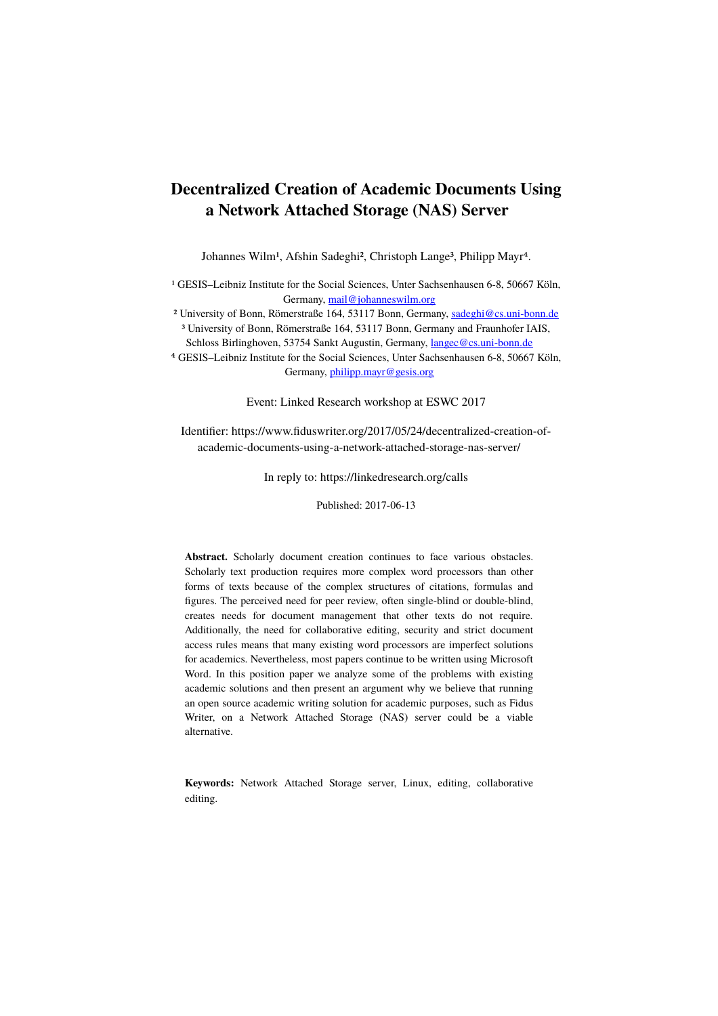# **Decentralized Creation of Academic Documents Using a Network Attached Storage (NAS) Server**

Johannes Wilm<sup>1</sup>, Afshin Sadeghi<sup>2</sup>, Christoph Lange<sup>3</sup>, Philipp Mayr<sup>4</sup>.

<sup>1</sup> GESIS–Leibniz Institute for the Social Sciences, Unter Sachsenhausen 6-8, 50667 Köln, Germany, [mail@johanneswilm.org](mailto:mail@johanneswilm.org)

² University of Bonn, Römerstraße 164, 53117 Bonn, Germany, [sadeghi@cs.uni-bonn.de](mailto:sadeghi@cs.uni-bonn.de)

³ University of Bonn, Römerstraße 164, 53117 Bonn, Germany and Fraunhofer IAIS, Schloss Birlinghoven, 53754 Sankt Augustin, Germany, [langec@cs.uni-bonn.de](mailto:langec@cs.uni-bonn.de)

⁴ GESIS–Leibniz Institute for the Social Sciences, Unter Sachsenhausen 6-8, 50667 Köln, Germany, [philipp.mayr@gesis.org](mailto:philipp.mayr@gesis.org)

Event: Linked Research workshop at ESWC 2017

Identifier: https://www.fiduswriter.org/2017/05/24/decentralized-creation-ofacademic-documents-using-a-network-attached-storage-nas-server/

In reply to: https://linkedresearch.org/calls

Published: 2017-06-13

**Abstract.** Scholarly document creation continues to face various obstacles. Scholarly text production requires more complex word processors than other forms of texts because of the complex structures of citations, formulas and figures. The perceived need for peer review, often single-blind or double-blind, creates needs for document management that other texts do not require. Additionally, the need for collaborative editing, security and strict document access rules means that many existing word processors are imperfect solutions for academics. Nevertheless, most papers continue to be written using Microsoft Word. In this position paper we analyze some of the problems with existing academic solutions and then present an argument why we believe that running an open source academic writing solution for academic purposes, such as Fidus Writer, on a Network Attached Storage (NAS) server could be a viable alternative.

**Keywords:** Network Attached Storage server, Linux, editing, collaborative editing.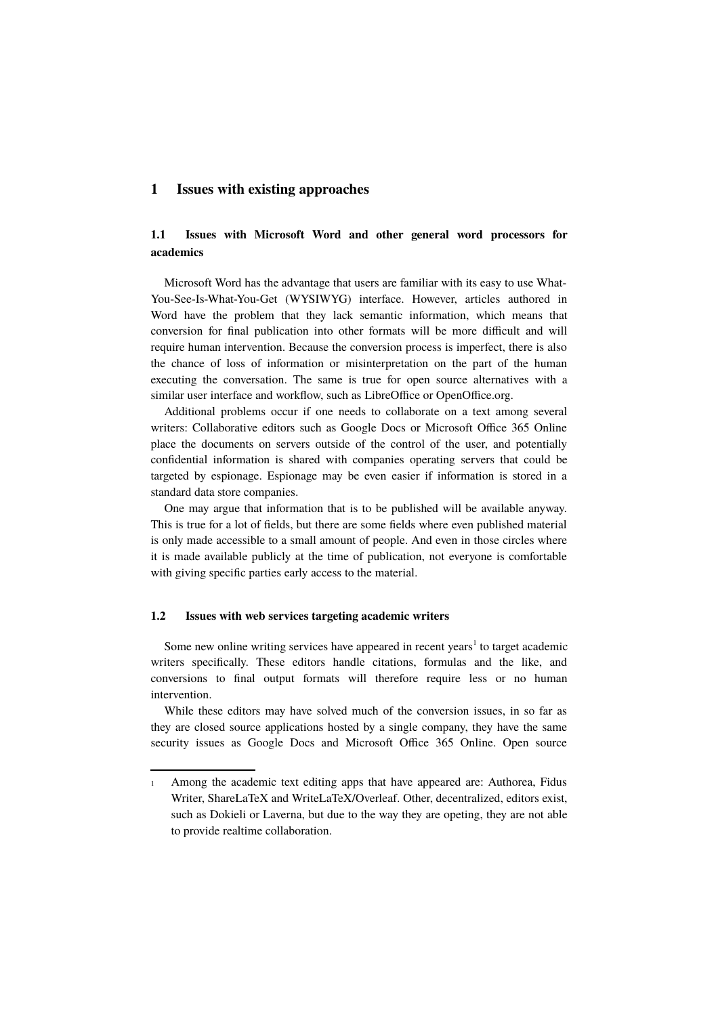#### **1 Issues with existing approaches**

## **1.1 Issues with Microsoft Word and other general word processors for academics**

Microsoft Word has the advantage that users are familiar with its easy to use What-You-See-Is-What-You-Get (WYSIWYG) interface. However, articles authored in Word have the problem that they lack semantic information, which means that conversion for final publication into other formats will be more difficult and will require human intervention. Because the conversion process is imperfect, there is also the chance of loss of information or misinterpretation on the part of the human executing the conversation. The same is true for open source alternatives with a similar user interface and workflow, such as LibreOffice or OpenOffice.org.

Additional problems occur if one needs to collaborate on a text among several writers: Collaborative editors such as Google Docs or Microsoft Office 365 Online place the documents on servers outside of the control of the user, and potentially confidential information is shared with companies operating servers that could be targeted by espionage. Espionage may be even easier if information is stored in a standard data store companies.

One may argue that information that is to be published will be available anyway. This is true for a lot of fields, but there are some fields where even published material is only made accessible to a small amount of people. And even in those circles where it is made available publicly at the time of publication, not everyone is comfortable with giving specific parties early access to the material.

#### **1.2 Issues with web services targeting academic writers**

Some new online writing services have appeared in recent years<sup>[1](#page-1-0)</sup> to target academic writers specifically. These editors handle citations, formulas and the like, and conversions to final output formats will therefore require less or no human intervention.

While these editors may have solved much of the conversion issues, in so far as they are closed source applications hosted by a single company, they have the same security issues as Google Docs and Microsoft Office 365 Online. Open source

<span id="page-1-0"></span><sup>1</sup> Among the academic text editing apps that have appeared are: Authorea, Fidus Writer, ShareLaTeX and WriteLaTeX/Overleaf. Other, decentralized, editors exist, such as Dokieli or Laverna, but due to the way they are opeting, they are not able to provide realtime collaboration.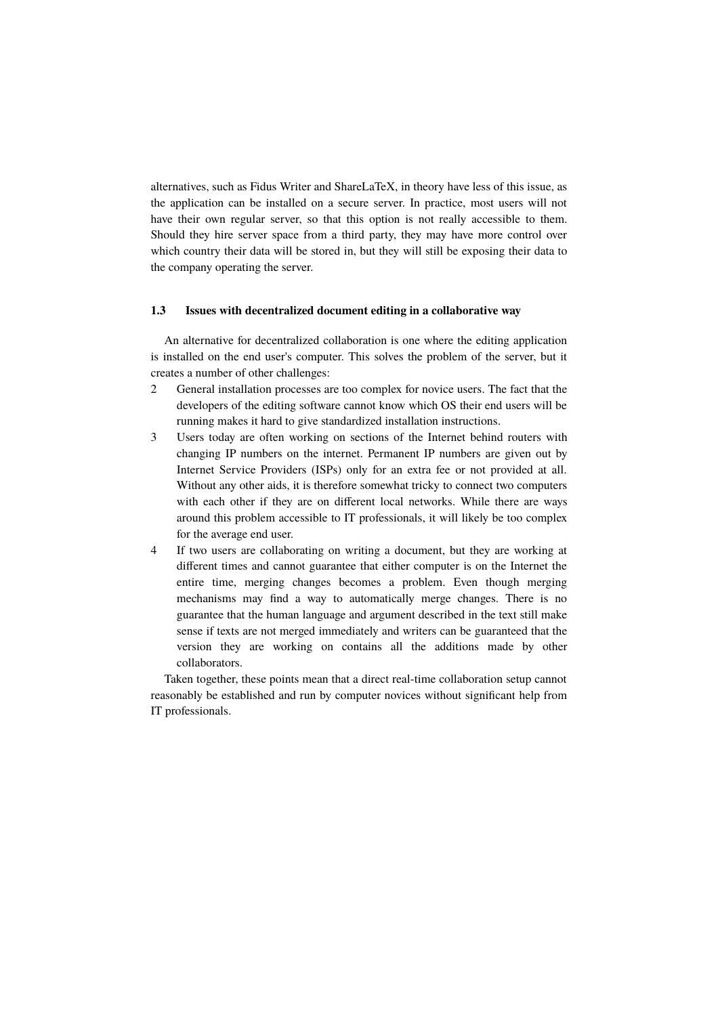alternatives, such as Fidus Writer and ShareLaTeX, in theory have less of this issue, as the application can be installed on a secure server. In practice, most users will not have their own regular server, so that this option is not really accessible to them. Should they hire server space from a third party, they may have more control over which country their data will be stored in, but they will still be exposing their data to the company operating the server.

#### **1.3 Issues with decentralized document editing in a collaborative way**

An alternative for decentralized collaboration is one where the editing application is installed on the end user's computer. This solves the problem of the server, but it creates a number of other challenges:

- 2 General installation processes are too complex for novice users. The fact that the developers of the editing software cannot know which OS their end users will be running makes it hard to give standardized installation instructions.
- 3 Users today are often working on sections of the Internet behind routers with changing IP numbers on the internet. Permanent IP numbers are given out by Internet Service Providers (ISPs) only for an extra fee or not provided at all. Without any other aids, it is therefore somewhat tricky to connect two computers with each other if they are on different local networks. While there are ways around this problem accessible to IT professionals, it will likely be too complex for the average end user.
- 4 If two users are collaborating on writing a document, but they are working at different times and cannot guarantee that either computer is on the Internet the entire time, merging changes becomes a problem. Even though merging mechanisms may find a way to automatically merge changes. There is no guarantee that the human language and argument described in the text still make sense if texts are not merged immediately and writers can be guaranteed that the version they are working on contains all the additions made by other collaborators.

Taken together, these points mean that a direct real-time collaboration setup cannot reasonably be established and run by computer novices without significant help from IT professionals.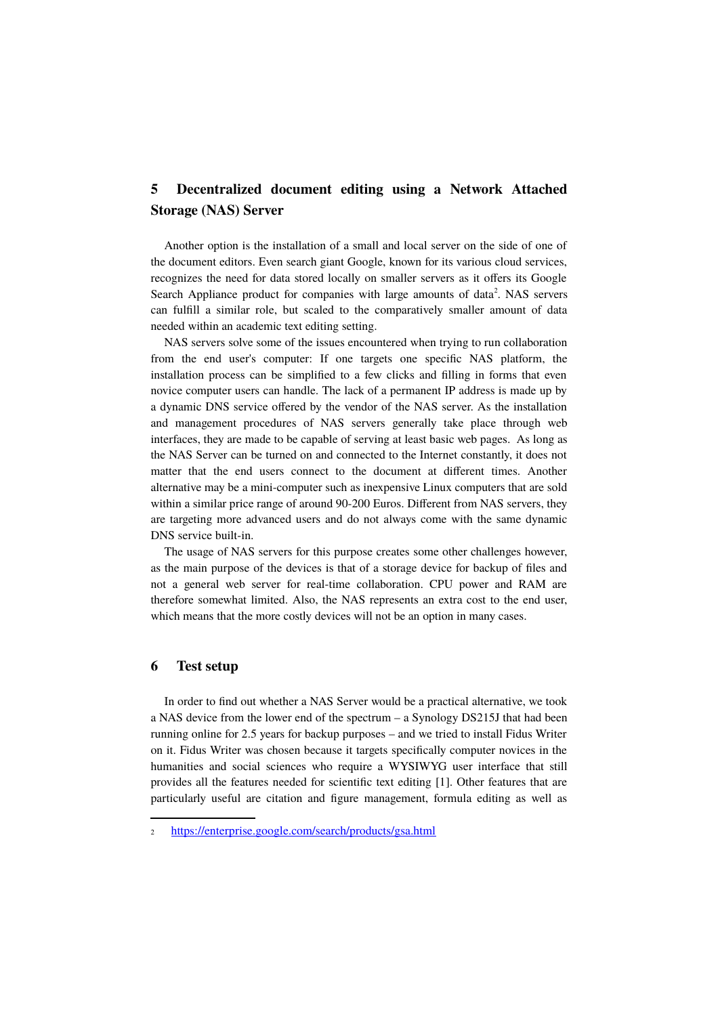## **5 Decentralized document editing using a Network Attached Storage (NAS) Server**

Another option is the installation of a small and local server on the side of one of the document editors. Even search giant Google, known for its various cloud services, recognizes the need for data stored locally on smaller servers as it offers its Google Search Appliance product for companies with large amounts of data<sup>[2](#page-3-0)</sup>. NAS servers can fulfill a similar role, but scaled to the comparatively smaller amount of data needed within an academic text editing setting.

NAS servers solve some of the issues encountered when trying to run collaboration from the end user's computer: If one targets one specific NAS platform, the installation process can be simplified to a few clicks and filling in forms that even novice computer users can handle. The lack of a permanent IP address is made up by a dynamic DNS service offered by the vendor of the NAS server. As the installation and management procedures of NAS servers generally take place through web interfaces, they are made to be capable of serving at least basic web pages. As long as the NAS Server can be turned on and connected to the Internet constantly, it does not matter that the end users connect to the document at different times. Another alternative may be a mini-computer such as inexpensive Linux computers that are sold within a similar price range of around 90-200 Euros. Different from NAS servers, they are targeting more advanced users and do not always come with the same dynamic DNS service built-in.

The usage of NAS servers for this purpose creates some other challenges however, as the main purpose of the devices is that of a storage device for backup of files and not a general web server for real-time collaboration. CPU power and RAM are therefore somewhat limited. Also, the NAS represents an extra cost to the end user, which means that the more costly devices will not be an option in many cases.

#### **6 Test setup**

In order to find out whether a NAS Server would be a practical alternative, we took a NAS device from the lower end of the spectrum – a Synology DS215J that had been running online for 2.5 years for backup purposes – and we tried to install Fidus Writer on it. Fidus Writer was chosen because it targets specifically computer novices in the humanities and social sciences who require a WYSIWYG user interface that still provides all the features needed for scientific text editing [1]. Other features that are particularly useful are citation and figure management, formula editing as well as

<span id="page-3-0"></span><sup>2</sup> <https://enterprise.google.com/search/products/gsa.html>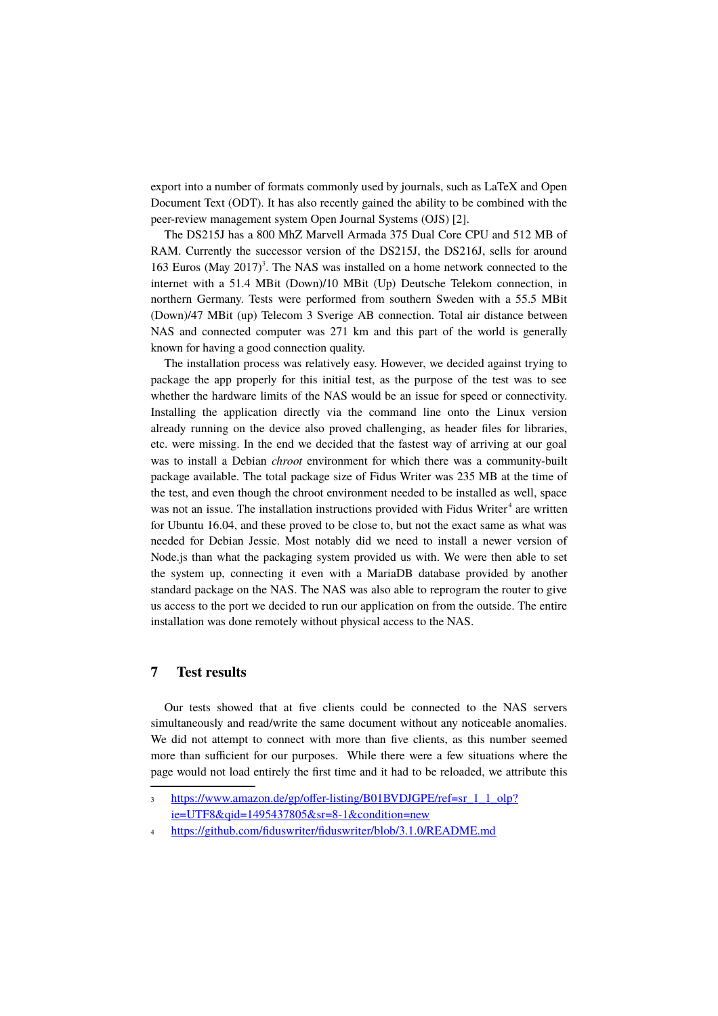export into a number of formats commonly used by journals, such as LaTeX and Open Document Text (ODT). It has also recently gained the ability to be combined with the peer-review management system Open Journal Systems (OJS) [2].

The DS215J has a 800 MhZ Marvell Armada 375 Dual Core CPU and 512 MB of RAM. Currently the successor version of the DS215J, the DS216J, sells for around 16[3](#page-4-0) Euros (May  $2017$ )<sup>3</sup>. The NAS was installed on a home network connected to the internet with a 51.4 MBit (Down)/10 MBit (Up) Deutsche Telekom connection, in northern Germany. Tests were performed from southern Sweden with a 55.5 MBit (Down)/47 MBit (up) Telecom 3 Sverige AB connection. Total air distance between NAS and connected computer was 271 km and this part of the world is generally known for having a good connection quality.

The installation process was relatively easy. However, we decided against trying to package the app properly for this initial test, as the purpose of the test was to see whether the hardware limits of the NAS would be an issue for speed or connectivity. Installing the application directly via the command line onto the Linux version already running on the device also proved challenging, as header files for libraries, etc. were missing. In the end we decided that the fastest way of arriving at our goal was to install a Debian *chroot* environment for which there was a community-built package available. The total package size of Fidus Writer was 235 MB at the time of the test, and even though the chroot environment needed to be installed as well, space was not an issue. The installation instructions provided with Fidus Writer $4$  are written for Ubuntu 16.04, and these proved to be close to, but not the exact same as what was needed for Debian Jessie. Most notably did we need to install a newer version of Node.js than what the packaging system provided us with. We were then able to set the system up, connecting it even with a MariaDB database provided by another standard package on the NAS. The NAS was also able to reprogram the router to give us access to the port we decided to run our application on from the outside. The entire installation was done remotely without physical access to the NAS.

## **7 Test results**

Our tests showed that at five clients could be connected to the NAS servers simultaneously and read/write the same document without any noticeable anomalies. We did not attempt to connect with more than five clients, as this number seemed more than sufficient for our purposes. While there were a few situations where the page would not load entirely the first time and it had to be reloaded, we attribute this

<span id="page-4-0"></span><sup>3</sup> [https://www.amazon.de/gp/offer-listing/B01BVDJGPE/ref=sr\\_1\\_1\\_olp?](https://www.amazon.de/gp/offer-listing/B01BVDJGPE/ref=sr_1_1_olp?ie=UTF8&qid=1495437805&sr=8-1&condition=new) [ie=UTF8&qid=1495437805&sr=8-1&condition=new](https://www.amazon.de/gp/offer-listing/B01BVDJGPE/ref=sr_1_1_olp?ie=UTF8&qid=1495437805&sr=8-1&condition=new)

<span id="page-4-1"></span><sup>4</sup> <https://github.com/fiduswriter/fiduswriter/blob/3.1.0/README.md>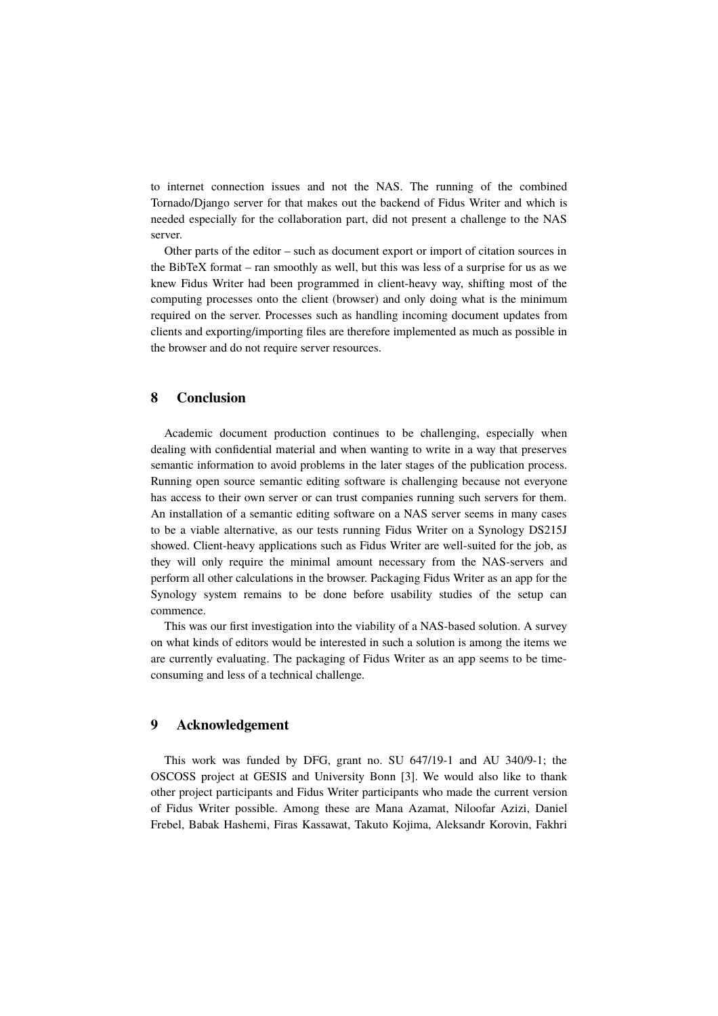to internet connection issues and not the NAS. The running of the combined Tornado/Django server for that makes out the backend of Fidus Writer and which is needed especially for the collaboration part, did not present a challenge to the NAS server.

Other parts of the editor – such as document export or import of citation sources in the BibTeX format – ran smoothly as well, but this was less of a surprise for us as we knew Fidus Writer had been programmed in client-heavy way, shifting most of the computing processes onto the client (browser) and only doing what is the minimum required on the server. Processes such as handling incoming document updates from clients and exporting/importing files are therefore implemented as much as possible in the browser and do not require server resources.

### **8 Conclusion**

Academic document production continues to be challenging, especially when dealing with confidential material and when wanting to write in a way that preserves semantic information to avoid problems in the later stages of the publication process. Running open source semantic editing software is challenging because not everyone has access to their own server or can trust companies running such servers for them. An installation of a semantic editing software on a NAS server seems in many cases to be a viable alternative, as our tests running Fidus Writer on a Synology DS215J showed. Client-heavy applications such as Fidus Writer are well-suited for the job, as they will only require the minimal amount necessary from the NAS-servers and perform all other calculations in the browser. Packaging Fidus Writer as an app for the Synology system remains to be done before usability studies of the setup can commence.

This was our first investigation into the viability of a NAS-based solution. A survey on what kinds of editors would be interested in such a solution is among the items we are currently evaluating. The packaging of Fidus Writer as an app seems to be timeconsuming and less of a technical challenge.

## **9 Acknowledgement**

This work was funded by DFG, grant no. SU 647/19-1 and AU 340/9-1; the OSCOSS project at GESIS and University Bonn [3]. We would also like to thank other project participants and Fidus Writer participants who made the current version of Fidus Writer possible. Among these are Mana Azamat, Niloofar Azizi, Daniel Frebel, Babak Hashemi, Firas Kassawat, Takuto Kojima, Aleksandr Korovin, Fakhri